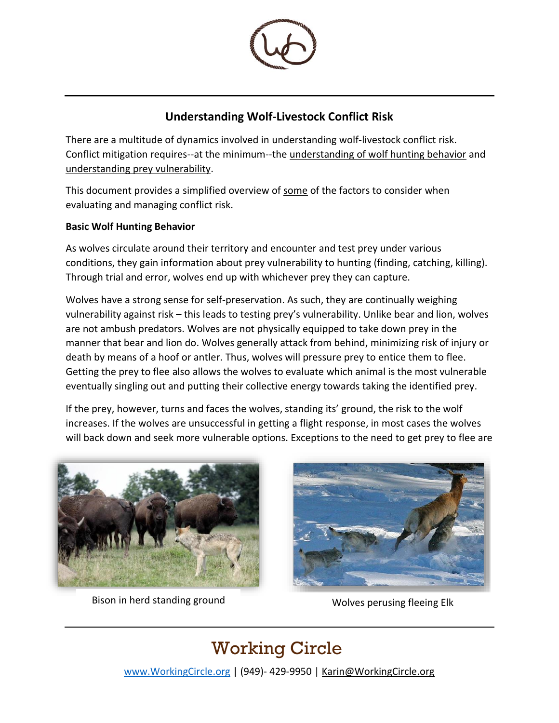

### **Understanding Wolf-Livestock Conflict Risk**

There are a multitude of dynamics involved in understanding wolf-livestock conflict risk. Conflict mitigation requires--at the minimum--the understanding of wolf hunting behavior and understanding prey vulnerability.

This document provides a simplified overview of some of the factors to consider when evaluating and managing conflict risk.

#### **Basic Wolf Hunting Behavior**

As wolves circulate around their territory and encounter and test prey under various conditions, they gain information about prey vulnerability to hunting (finding, catching, killing). Through trial and error, wolves end up with whichever prey they can capture.

Wolves have a strong sense for self-preservation. As such, they are continually weighing vulnerability against risk – this leads to testing prey's vulnerability. Unlike bear and lion, wolves are not ambush predators. Wolves are not physically equipped to take down prey in the manner that bear and lion do. Wolves generally attack from behind, minimizing risk of injury or death by means of a hoof or antler. Thus, wolves will pressure prey to entice them to flee. Getting the prey to flee also allows the wolves to evaluate which animal is the most vulnerable eventually singling out and putting their collective energy towards taking the identified prey.

If the prey, however, turns and faces the wolves, standing its' ground, the risk to the wolf increases. If the wolves are unsuccessful in getting a flight response, in most cases the wolves will back down and seek more vulnerable options. Exceptions to the need to get prey to flee are



Bison in herd standing ground Wolves perusing fleeing Elk



# Working Circle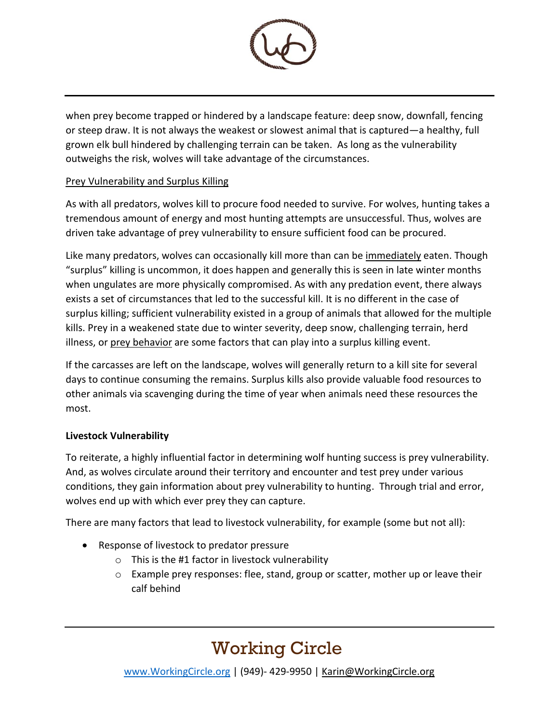

when prey become trapped or hindered by a landscape feature: deep snow, downfall, fencing or steep draw. It is not always the weakest or slowest animal that is captured—a healthy, full grown elk bull hindered by challenging terrain can be taken. As long as the vulnerability outweighs the risk, wolves will take advantage of the circumstances.

#### Prey Vulnerability and Surplus Killing

As with all predators, wolves kill to procure food needed to survive. For wolves, hunting takes a tremendous amount of energy and most hunting attempts are unsuccessful. Thus, wolves are driven take advantage of prey vulnerability to ensure sufficient food can be procured.

Like many predators, wolves can occasionally kill more than can be immediately eaten. Though "surplus" killing is uncommon, it does happen and generally this is seen in late winter months when ungulates are more physically compromised. As with any predation event, there always exists a set of circumstances that led to the successful kill. It is no different in the case of surplus killing; sufficient vulnerability existed in a group of animals that allowed for the multiple kills. Prey in a weakened state due to winter severity, deep snow, challenging terrain, herd illness, or prey behavior are some factors that can play into a surplus killing event.

If the carcasses are left on the landscape, wolves will generally return to a kill site for several days to continue consuming the remains. Surplus kills also provide valuable food resources to other animals via scavenging during the time of year when animals need these resources the most.

#### **Livestock Vulnerability**

To reiterate, a highly influential factor in determining wolf hunting success is prey vulnerability. And, as wolves circulate around their territory and encounter and test prey under various conditions, they gain information about prey vulnerability to hunting. Through trial and error, wolves end up with which ever prey they can capture.

There are many factors that lead to livestock vulnerability, for example (some but not all):

- Response of livestock to predator pressure
	- $\circ$  This is the #1 factor in livestock vulnerability
	- $\circ$  Example prey responses: flee, stand, group or scatter, mother up or leave their calf behind

### Working Circle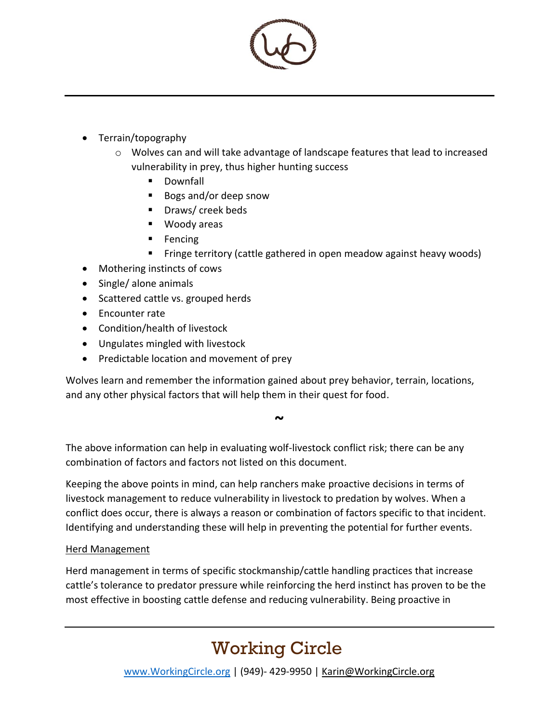

- Terrain/topography
	- o Wolves can and will take advantage of landscape features that lead to increased vulnerability in prey, thus higher hunting success
		- Downfall
		- Bogs and/or deep snow
		- Draws/ creek beds
		- Woody areas
		- Fencing
		- Fringe territory (cattle gathered in open meadow against heavy woods)
- Mothering instincts of cows
- Single/ alone animals
- Scattered cattle vs. grouped herds
- Encounter rate
- Condition/health of livestock
- Ungulates mingled with livestock
- Predictable location and movement of prey

Wolves learn and remember the information gained about prey behavior, terrain, locations, and any other physical factors that will help them in their quest for food.

**~**

The above information can help in evaluating wolf-livestock conflict risk; there can be any combination of factors and factors not listed on this document.

Keeping the above points in mind, can help ranchers make proactive decisions in terms of livestock management to reduce vulnerability in livestock to predation by wolves. When a conflict does occur, there is always a reason or combination of factors specific to that incident. Identifying and understanding these will help in preventing the potential for further events.

#### Herd Management

Herd management in terms of specific stockmanship/cattle handling practices that increase cattle's tolerance to predator pressure while reinforcing the herd instinct has proven to be the most effective in boosting cattle defense and reducing vulnerability. Being proactive in

# Working Circle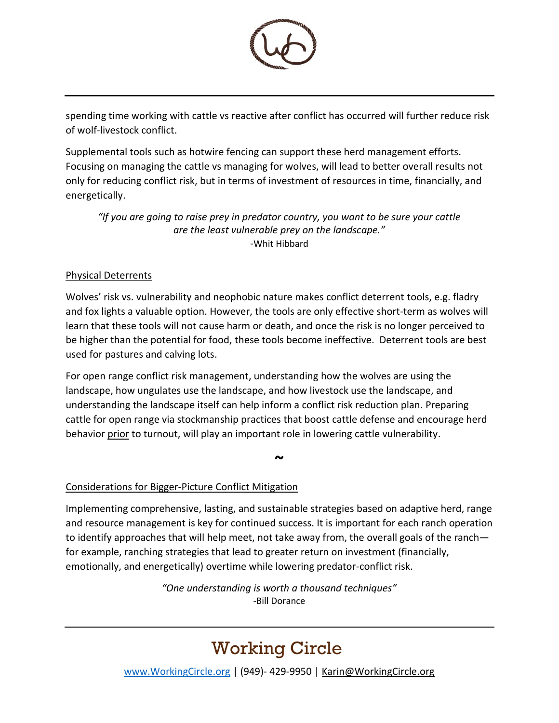

spending time working with cattle vs reactive after conflict has occurred will further reduce risk of wolf-livestock conflict.

Supplemental tools such as hotwire fencing can support these herd management efforts. Focusing on managing the cattle vs managing for wolves, will lead to better overall results not only for reducing conflict risk, but in terms of investment of resources in time, financially, and energetically.

*"If you are going to raise prey in predator country, you want to be sure your cattle are the least vulnerable prey on the landscape."* -Whit Hibbard

#### Physical Deterrents

Wolves' risk vs. vulnerability and neophobic nature makes conflict deterrent tools, e.g. fladry and fox lights a valuable option. However, the tools are only effective short-term as wolves will learn that these tools will not cause harm or death, and once the risk is no longer perceived to be higher than the potential for food, these tools become ineffective. Deterrent tools are best used for pastures and calving lots.

For open range conflict risk management, understanding how the wolves are using the landscape, how ungulates use the landscape, and how livestock use the landscape, and understanding the landscape itself can help inform a conflict risk reduction plan. Preparing cattle for open range via stockmanship practices that boost cattle defense and encourage herd behavior prior to turnout, will play an important role in lowering cattle vulnerability.

**~**

#### Considerations for Bigger-Picture Conflict Mitigation

Implementing comprehensive, lasting, and sustainable strategies based on adaptive herd, range and resource management is key for continued success. It is important for each ranch operation to identify approaches that will help meet, not take away from, the overall goals of the ranch for example, ranching strategies that lead to greater return on investment (financially, emotionally, and energetically) overtime while lowering predator-conflict risk.

> *"One understanding is worth a thousand techniques"* -Bill Dorance

# Working Circle